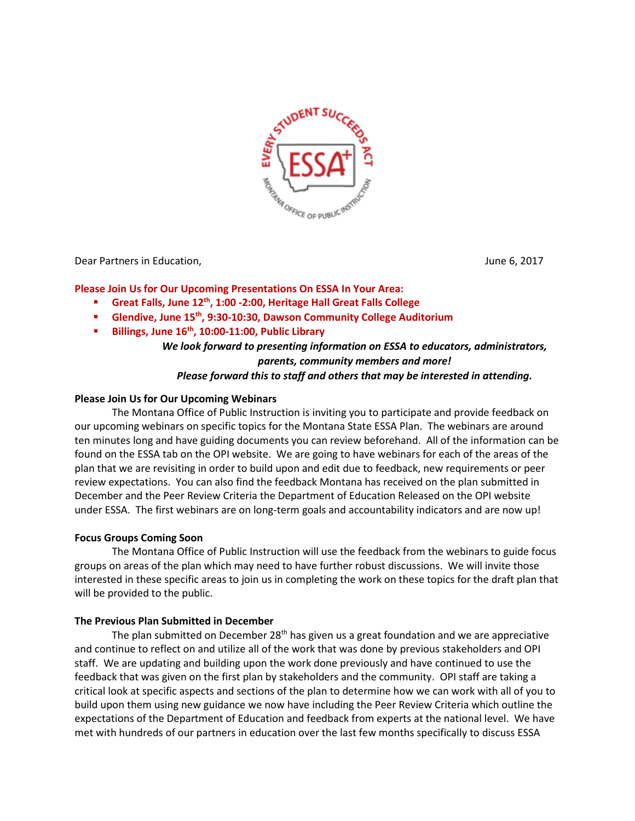

Dear Partners in Education, June 6, 2017

## **Please Join Us for Our Upcoming Presentations On ESSA In Your Area:**

- **Great Falls, June 12<sup>th</sup>, 1:00 -2:00, Heritage Hall Great Falls College**
- **Glendive, June 15<sup>th</sup>, 9:30-10:30, Dawson Community College Auditorium**
- **Billings, June 16th, 10:00-11:00, Public Library**

# *We look forward to presenting information on ESSA to educators, administrators, parents, community members and more!*

## *Please forward this to staff and others that may be interested in attending.*

## **Please Join Us for Our Upcoming Webinars**

The Montana Office of Public Instruction is inviting you to participate and provide feedback on our upcoming webinars on specific topics for the Montana State ESSA Plan. The webinars are around ten minutes long and have guiding documents you can review beforehand. All of the information can be found on the ESSA tab on the OPI website. We are going to have webinars for each of the areas of the plan that we are revisiting in order to build upon and edit due to feedback, new requirements or peer review expectations. You can also find the feedback Montana has received on the plan submitted in December and the Peer Review Criteria the Department of Education Released on the OPI website under ESSA. The first webinars are on long-term goals and accountability indicators and are now up!

#### **Focus Groups Coming Soon**

The Montana Office of Public Instruction will use the feedback from the webinars to guide focus groups on areas of the plan which may need to have further robust discussions. We will invite those interested in these specific areas to join us in completing the work on these topics for the draft plan that will be provided to the public.

#### **The Previous Plan Submitted in December**

The plan submitted on December 28<sup>th</sup> has given us a great foundation and we are appreciative and continue to reflect on and utilize all of the work that was done by previous stakeholders and OPI staff. We are updating and building upon the work done previously and have continued to use the feedback that was given on the first plan by stakeholders and the community. OPI staff are taking a critical look at specific aspects and sections of the plan to determine how we can work with all of you to build upon them using new guidance we now have including the Peer Review Criteria which outline the expectations of the Department of Education and feedback from experts at the national level. We have met with hundreds of our partners in education over the last few months specifically to discuss ESSA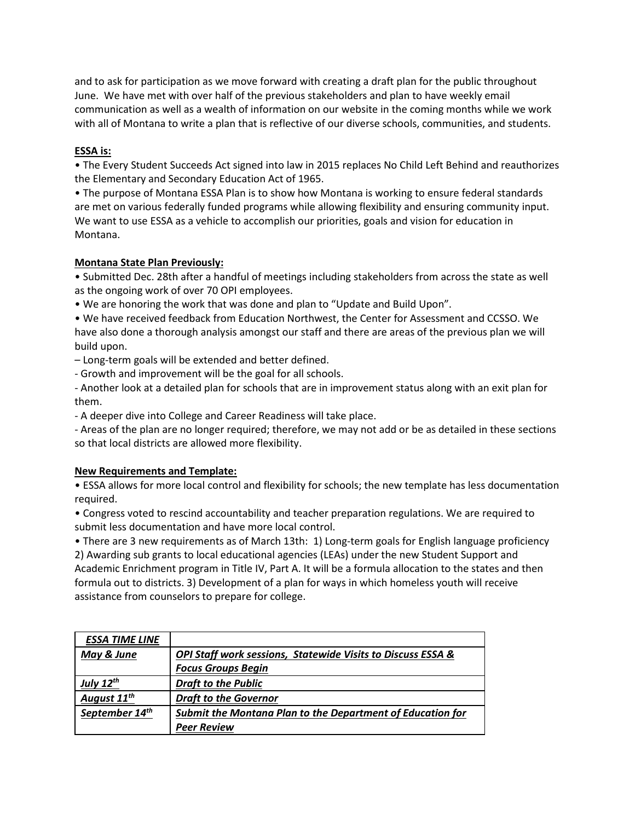and to ask for participation as we move forward with creating a draft plan for the public throughout June. We have met with over half of the previous stakeholders and plan to have weekly email communication as well as a wealth of information on our website in the coming months while we work with all of Montana to write a plan that is reflective of our diverse schools, communities, and students.

# **ESSA is:**

• The Every Student Succeeds Act signed into law in 2015 replaces No Child Left Behind and reauthorizes the Elementary and Secondary Education Act of 1965.

• The purpose of Montana ESSA Plan is to show how Montana is working to ensure federal standards are met on various federally funded programs while allowing flexibility and ensuring community input. We want to use ESSA as a vehicle to accomplish our priorities, goals and vision for education in Montana.

# **Montana State Plan Previously:**

• Submitted Dec. 28th after a handful of meetings including stakeholders from across the state as well as the ongoing work of over 70 OPI employees.

• We are honoring the work that was done and plan to "Update and Build Upon".

• We have received feedback from Education Northwest, the Center for Assessment and CCSSO. We have also done a thorough analysis amongst our staff and there are areas of the previous plan we will build upon.

– Long-term goals will be extended and better defined.

- Growth and improvement will be the goal for all schools.

- Another look at a detailed plan for schools that are in improvement status along with an exit plan for them.

- A deeper dive into College and Career Readiness will take place.

- Areas of the plan are no longer required; therefore, we may not add or be as detailed in these sections so that local districts are allowed more flexibility.

# **New Requirements and Template:**

• ESSA allows for more local control and flexibility for schools; the new template has less documentation required.

• Congress voted to rescind accountability and teacher preparation regulations. We are required to submit less documentation and have more local control.

• There are 3 new requirements as of March 13th: 1) Long-term goals for English language proficiency 2) Awarding sub grants to local educational agencies (LEAs) under the new Student Support and Academic Enrichment program in Title IV, Part A. It will be a formula allocation to the states and then formula out to districts. 3) Development of a plan for ways in which homeless youth will receive assistance from counselors to prepare for college.

| <b>ESSA TIME LINE</b>   |                                                             |
|-------------------------|-------------------------------------------------------------|
| May & June              | OPI Staff work sessions, Statewide Visits to Discuss ESSA & |
|                         | <b>Focus Groups Begin</b>                                   |
| July 12th               | <b>Draft to the Public</b>                                  |
| August 11 <sup>th</sup> | <b>Draft to the Governor</b>                                |
| September 14th          | Submit the Montana Plan to the Department of Education for  |
|                         | <b>Peer Review</b>                                          |